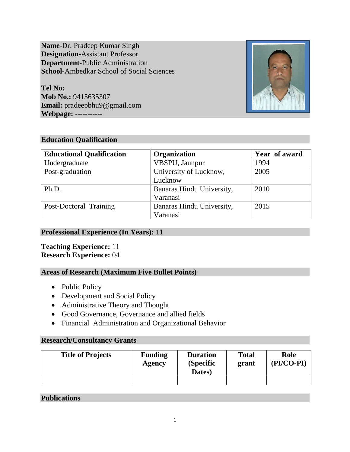**Name-**Dr. Pradeep Kumar Singh **Designation-**Assistant Professor **Department-**Public Administration **School-**Ambedkar School of Social Sciences

**Tel No: Mob No.:** 9415635307 **Email:** pradeepbhu9@gmail.com **Webpage: -----------**



# **Education Qualification**

| <b>Educational Qualification</b> | Organization              | Year of award |
|----------------------------------|---------------------------|---------------|
| Undergraduate                    | VBSPU, Jaunpur            | 1994          |
| Post-graduation                  | University of Lucknow,    | 2005          |
|                                  | Lucknow                   |               |
| Ph.D.                            | Banaras Hindu University, | 2010          |
|                                  | Varanasi                  |               |
| Post-Doctoral Training           | Banaras Hindu University, | 2015          |
|                                  | Varanasi                  |               |

## **Professional Experience (In Years):** 11

# **Teaching Experience:** 11 **Research Experience:** 04

# **Areas of Research (Maximum Five Bullet Points)**

- Public Policy
- Development and Social Policy
- Administrative Theory and Thought
- Good Governance, Governance and allied fields
- Financial Administration and Organizational Behavior

# **Research/Consultancy Grants**

| <b>Title of Projects</b> | <b>Funding</b><br>Agency | <b>Duration</b><br>(Specific<br>Dates) | <b>Total</b><br>grant | Role<br>(PI/CO-PI) |
|--------------------------|--------------------------|----------------------------------------|-----------------------|--------------------|
|                          |                          |                                        |                       |                    |

# **Publications**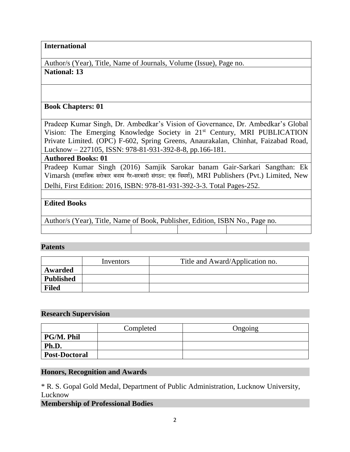## **International**

Author/s (Year), Title, Name of Journals, Volume (Issue), Page no. **National: 13**

## **Book Chapters: 01**

Pradeep Kumar Singh, Dr. Ambedkar's Vision of Governance, Dr. Ambedkar's Global Vision: The Emerging Knowledge Society in 21<sup>st</sup> Century, MRI PUBLICATION Private Limited. (OPC) F-602, Spring Greens, Anaurakalan, Chinhat, Faizabad Road, Lucknow – 227105, ISSN: 978-81-931-392-8-8, pp.166-181.

#### **Authored Books: 01**

Pradeep Kumar Singh (2016) Samjik Sarokar banam Gair-Sarkari Sangthan: Ek Vimarsh (सामाजिक सरोकार बनाम गैर-सरकारी संगठन: एक जिमर्श), MRI Publishers (Pvt.) Limited, New Delhi, First Edition: 2016, ISBN: 978-81-931-392-3-3. Total Pages-252.

# **Edited Books**

Author/s (Year), Title, Name of Book, Publisher, Edition, ISBN No., Page no.

## **Patents**

|                  | Inventors | Title and Award/Application no. |
|------------------|-----------|---------------------------------|
| Awarded          |           |                                 |
| <b>Published</b> |           |                                 |
| <b>Filed</b>     |           |                                 |

#### **Research Supervision**

|                      | Completed | Ongoing |
|----------------------|-----------|---------|
| PG/M. Phil           |           |         |
| Ph.D.                |           |         |
| <b>Post-Doctoral</b> |           |         |

## **Honors, Recognition and Awards**

\* R. S. Gopal Gold Medal, Department of Public Administration, Lucknow University, Lucknow

**Membership of Professional Bodies**